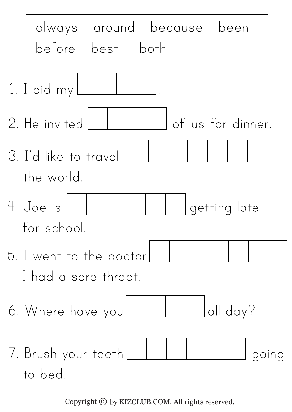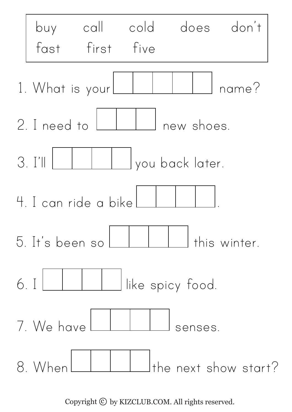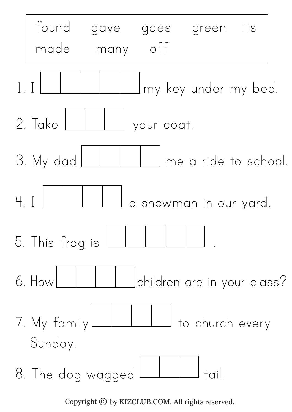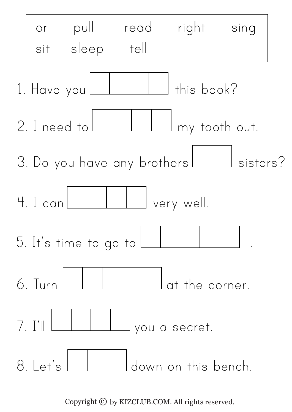

Copyright  $\odot$  by KIZCLUB.COM. All rights reserved.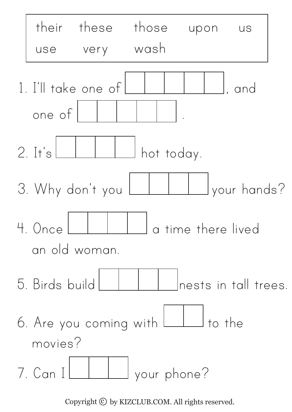